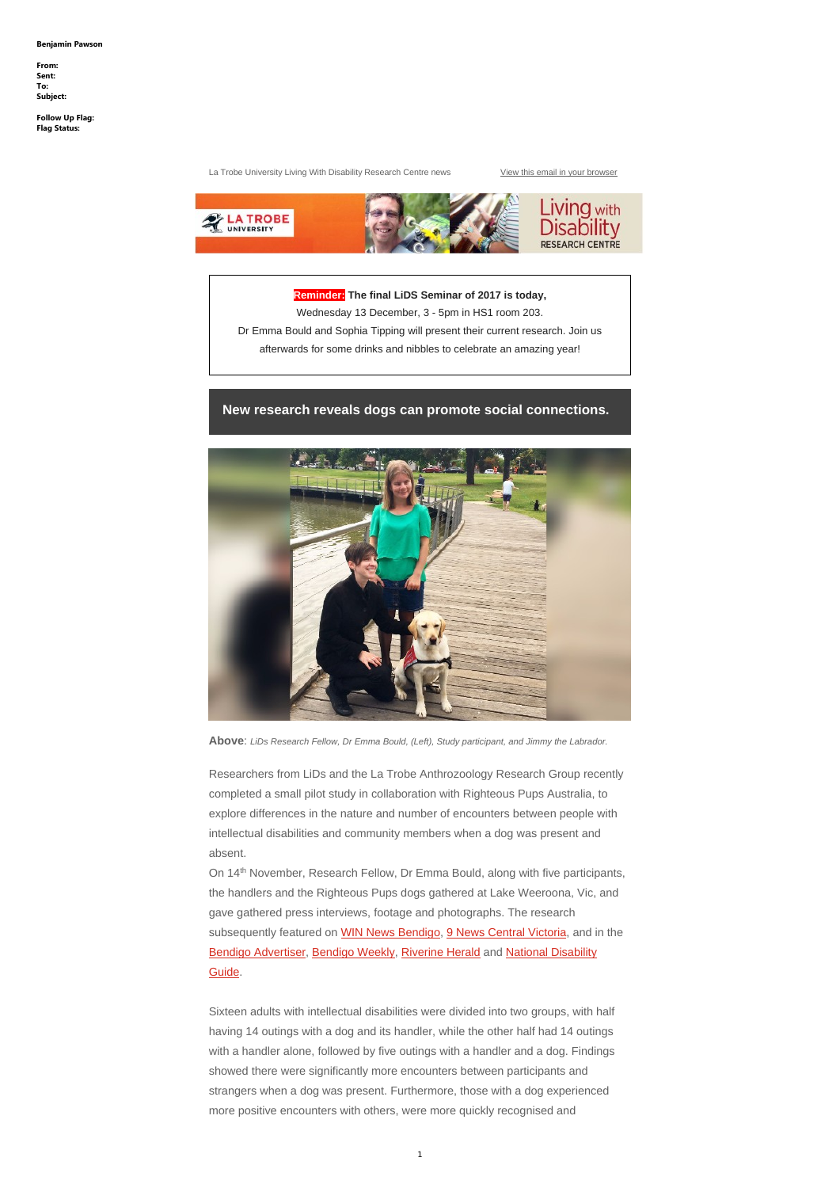La Trobe University Living With Disability Research Centre news View this email in your browser



**Reminder: The final LiDS Seminar of 2017 is today,** Wednesday 13 December, 3 - 5pm in HS1 room 203. Dr Emma Bould and Sophia Tipping will present their current research. Join us afterwards for some drinks and nibbles to celebrate an amazing year!

### **New research reveals dogs can promote social connections.**



**Above**: *LiDs Research Fellow, Dr Emma Bould, (Left), Study participant, and Jimmy the Labrador.*

On 14<sup>th</sup> November, Research Fellow, Dr Emma Bould, along with five participants, the handlers and the Righteous Pups dogs gathered at Lake Weeroona, Vic, and

Researchers from LiDs and the La Trobe Anthrozoology Research Group recently completed a small pilot study in collaboration with Righteous Pups Australia, to explore differences in the nature and number of encounters between people with intellectual disabilities and community members when a dog was present and absent.

gave gathered press interviews, footage and photographs. The research subsequently featured on WIN News Bendigo, 9 News Central Victoria, and in the Bendigo Advertiser, Bendigo Weekly, Riverine Herald and National Disability Guide.

Sixteen adults with intellectual disabilities were divided into two groups, with half having 14 outings with a dog and its handler, while the other half had 14 outings with a handler alone, followed by five outings with a handler and a dog. Findings showed there were significantly more encounters between participants and strangers when a dog was present. Furthermore, those with a dog experienced more positive encounters with others, were more quickly recognised and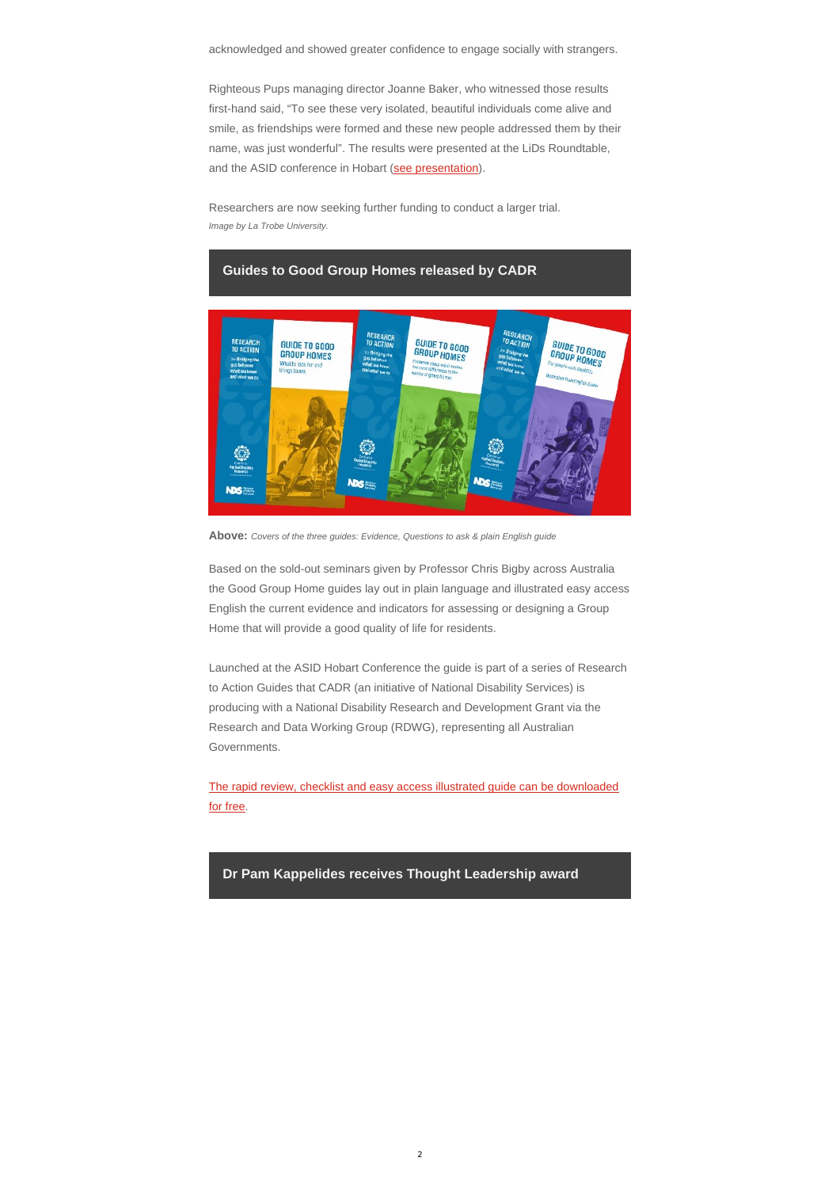acknowledged and showed greater confidence to engage socially with strangers.

Righteous Pups managing director Joanne Baker, who witnessed those results first-hand said, "To see these very isolated, beautiful individuals come alive and smile, as friendships were formed and these new people addressed them by their name, was just wonderful". The results were presented at the LiDs Roundtable, and the ASID conference in Hobart (see presentation).

### **Guides to Good Group Homes released by CADR ESEARCH** RESEARCH GUIDE TO GOOD **GUIDE TO GOOD**<br>GROUP HOMES<br><sup>International death</sup> **RESEARCH** TO ACTION GUIDE TO GOOD TO ACTION TO ACTION **GROUP HOMES GROUP HOMES** dging the What to look for and<br>things to ask **Sence about what a** ce to the **NDS NDS** DS:

Researchers are now seeking further funding to conduct a larger trial. *Image by La Trobe University.*

**Above:** *Covers of the three guides: Evidence, Questions to ask & plain English guide*

Based on the sold-out seminars given by Professor Chris Bigby across Australia the Good Group Home guides lay out in plain language and illustrated easy access English the current evidence and indicators for assessing or designing a Group Home that will provide a good quality of life for residents.

Launched at the ASID Hobart Conference the guide is part of a series of Research to Action Guides that CADR (an initiative of National Disability Services) is producing with a National Disability Research and Development Grant via the Research and Data Working Group (RDWG), representing all Australian Governments.

The rapid review, checklist and easy access illustrated guide can be downloaded for free.

# **Dr Pam Kappelides receives Thought Leadership award**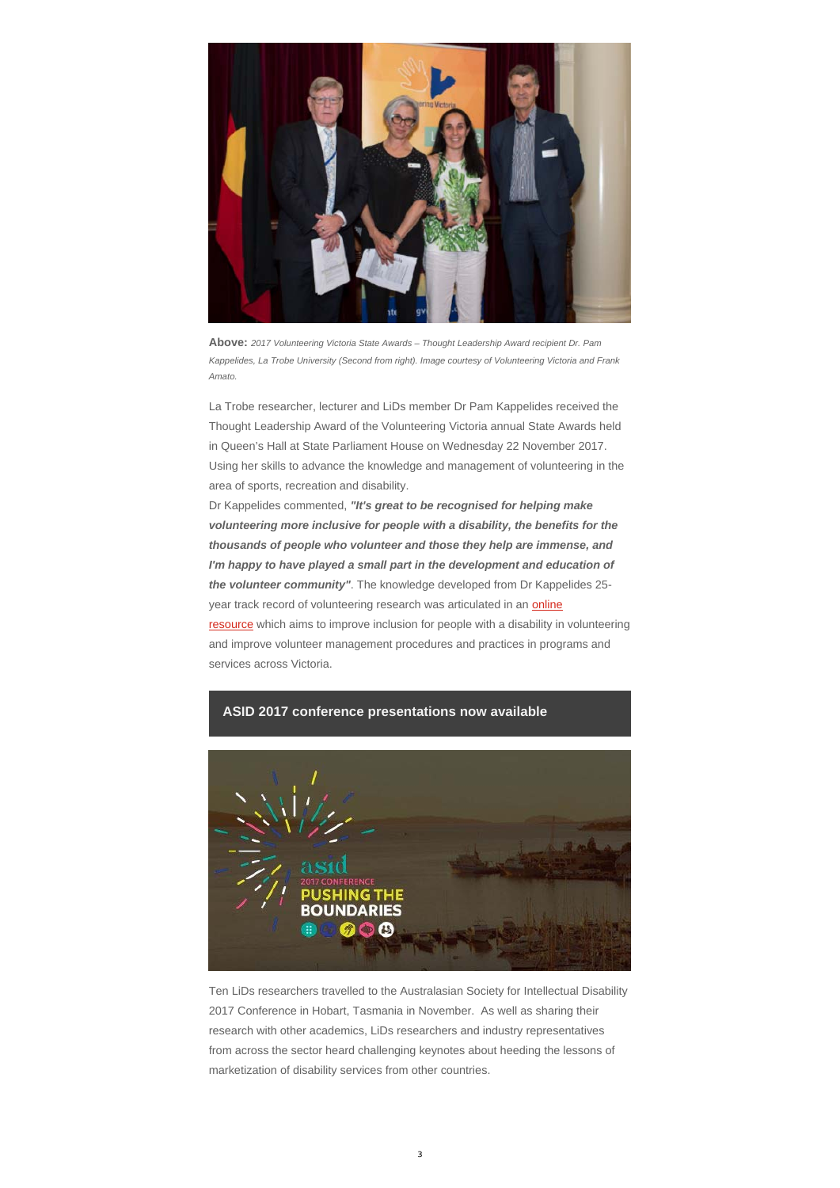

**Above:** *2017 Volunteering Victoria State Awards – Thought Leadership Award recipient Dr. Pam Kappelides, La Trobe University (Second from right). Image courtesy of Volunteering Victoria and Frank Amato.*

La Trobe researcher, lecturer and LiDs member Dr Pam Kappelides received the Thought Leadership Award of the Volunteering Victoria annual State Awards held in Queen's Hall at State Parliament House on Wednesday 22 November 2017. Using her skills to advance the knowledge and management of volunteering in the area of sports, recreation and disability.

Dr Kappelides commented, *"It's great to be recognised for helping make volunteering more inclusive for people with a disability, the benefits for the thousands of people who volunteer and those they help are immense, and*  I'm happy to have played a small part in the development and education of *the volunteer community"*. The knowledge developed from Dr Kappelides 25 year track record of volunteering research was articulated in an **online** resource which aims to improve inclusion for people with a disability in volunteering and improve volunteer management procedures and practices in programs and services across Victoria.



### **ASID 2017 conference presentations now available**



Ten LiDs researchers travelled to the Australasian Society for Intellectual Disability 2017 Conference in Hobart, Tasmania in November. As well as sharing their research with other academics, LiDs researchers and industry representatives from across the sector heard challenging keynotes about heeding the lessons of marketization of disability services from other countries.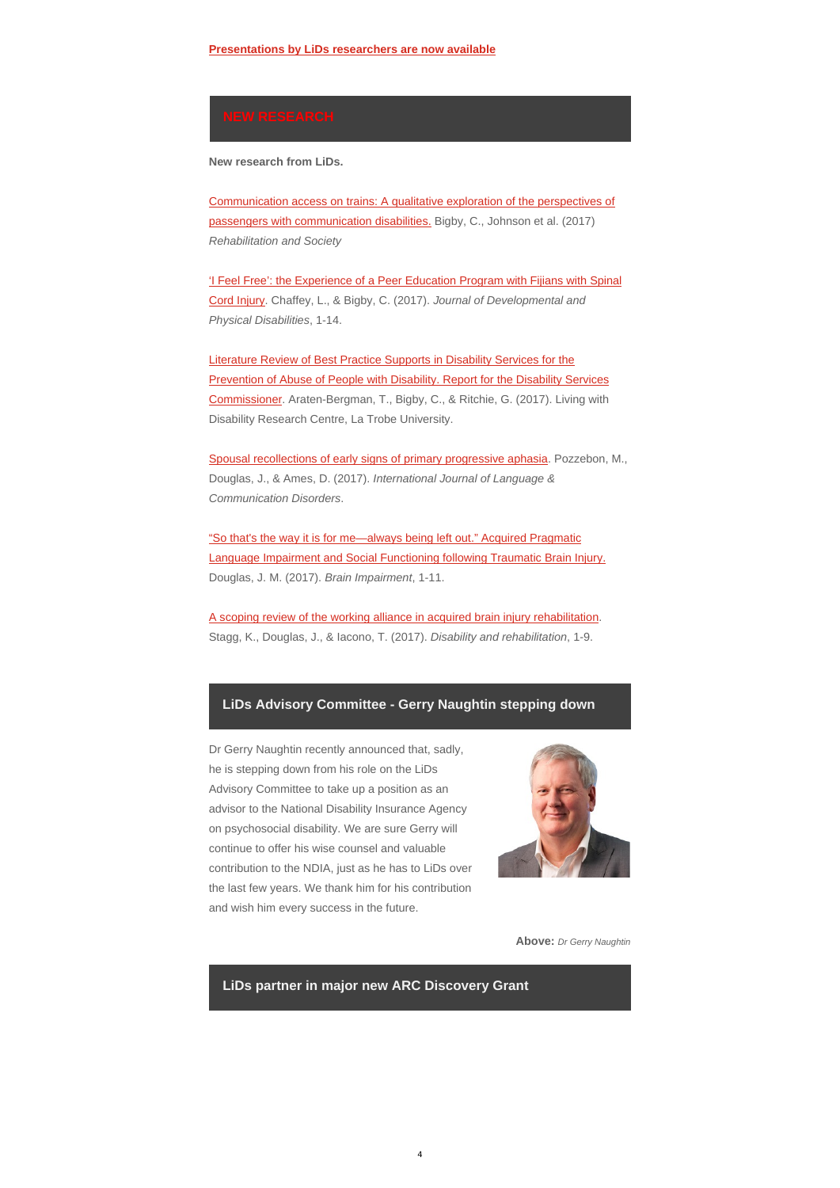**New research from LiDs.**

Communication access on trains: A qualitative exploration of the perspectives of passengers with communication disabilities. Bigby, C., Johnson et al. (2017) *Rehabilitation and Society* 

'I Feel Free': the Experience of a Peer Education Program with Fijians with Spinal Cord Injury. Chaffey, L., & Bigby, C. (2017). *Journal of Developmental and Physical Disabilities*, 1-14.

Literature Review of Best Practice Supports in Disability Services for the Prevention of Abuse of People with Disability. Report for the Disability Services Commissioner. Araten-Bergman, T., Bigby, C., & Ritchie, G. (2017). Living with Disability Research Centre, La Trobe University.

Spousal recollections of early signs of primary progressive aphasia. Pozzebon, M., Douglas, J., & Ames, D. (2017). *International Journal of Language & Communication Disorders*.

"So that's the way it is for me—always being left out." Acquired Pragmatic Language Impairment and Social Functioning following Traumatic Brain Injury. Douglas, J. M. (2017). *Brain Impairment*, 1-11.

A scoping review of the working alliance in acquired brain injury rehabilitation. Stagg, K., Douglas, J., & Iacono, T. (2017). *Disability and rehabilitation*, 1-9.

# **LiDs Advisory Committee - Gerry Naughtin stepping down**

Dr Gerry Naughtin recently announced that, sadly, he is stepping down from his role on the LiDs Advisory Committee to take up a position as an advisor to the National Disability Insurance Agency on psychosocial disability. We are sure Gerry will continue to offer his wise counsel and valuable contribution to the NDIA, just as he has to LiDs over the last few years. We thank him for his contribution



and wish him every success in the future.

**Above:** *Dr Gerry Naughtin*

# **LiDs partner in major new ARC Discovery Grant**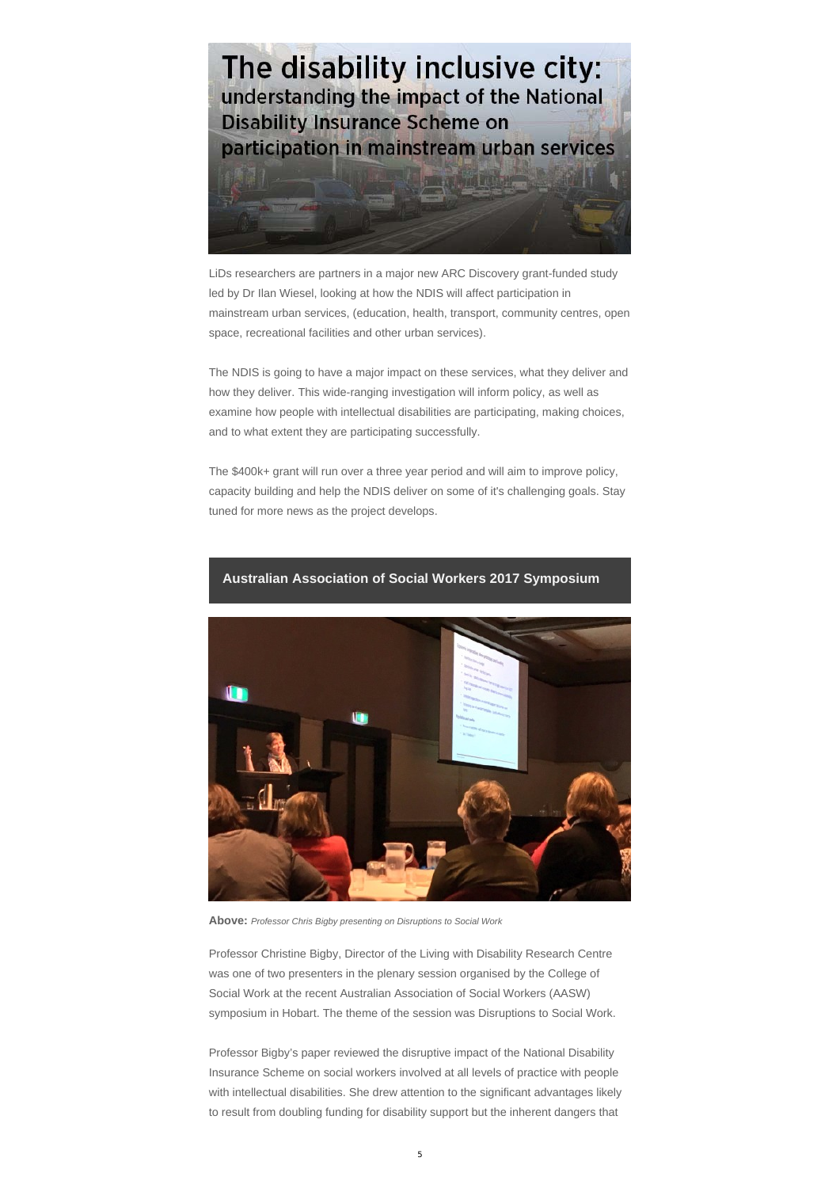

LiDs researchers are partners in a major new ARC Discovery grant-funded study led by Dr Ilan Wiesel, looking at how the NDIS will affect participation in mainstream urban services, (education, health, transport, community centres, open space, recreational facilities and other urban services).

The NDIS is going to have a major impact on these services, what they deliver and how they deliver. This wide-ranging investigation will inform policy, as well as examine how people with intellectual disabilities are participating, making choices, and to what extent they are participating successfully.

The \$400k+ grant will run over a three year period and will aim to improve policy, capacity building and help the NDIS deliver on some of it's challenging goals. Stay tuned for more news as the project develops.



### **Australian Association of Social Workers 2017 Symposium**

**Above:** *Professor Chris Bigby presenting on Disruptions to Social Work*

Professor Christine Bigby, Director of the Living with Disability Research Centre was one of two presenters in the plenary session organised by the College of Social Work at the recent Australian Association of Social Workers (AASW) symposium in Hobart. The theme of the session was Disruptions to Social Work.

Professor Bigby's paper reviewed the disruptive impact of the National Disability Insurance Scheme on social workers involved at all levels of practice with people with intellectual disabilities. She drew attention to the significant advantages likely to result from doubling funding for disability support but the inherent dangers that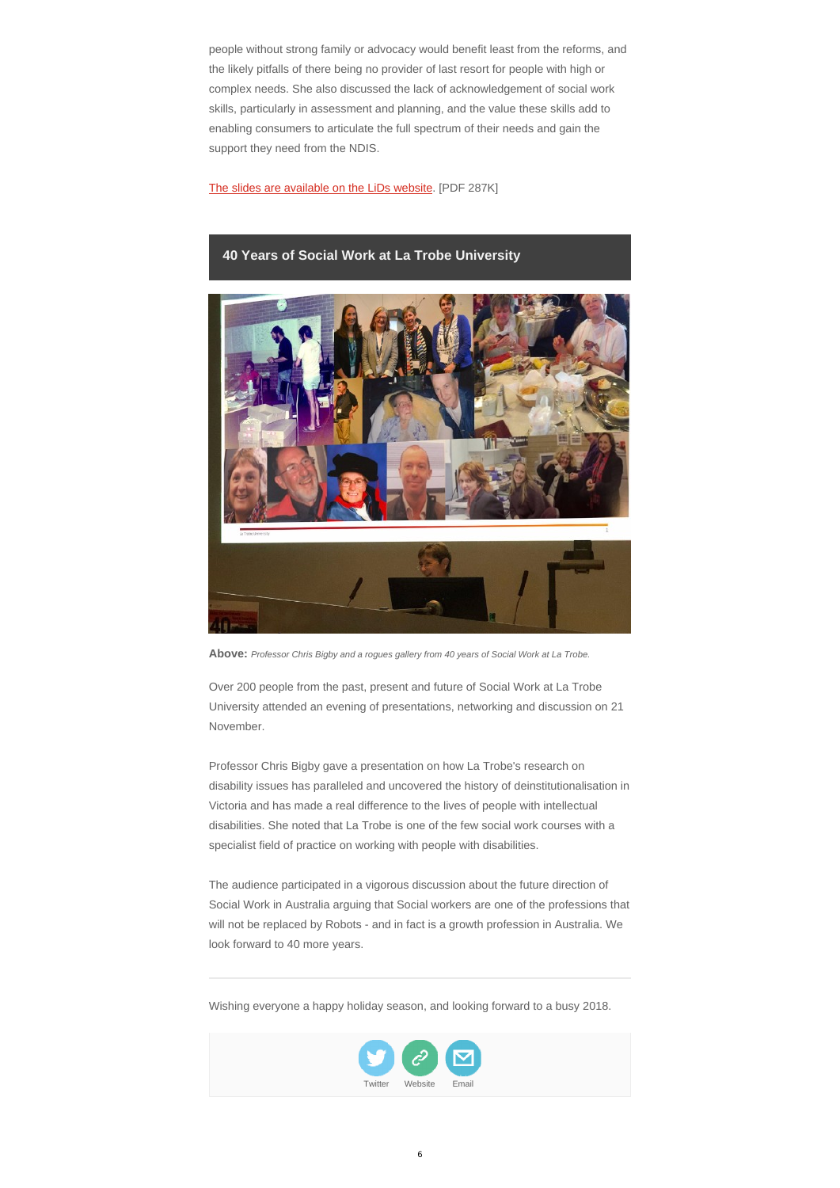people without strong family or advocacy would benefit least from the reforms, and the likely pitfalls of there being no provider of last resort for people with high or complex needs. She also discussed the lack of acknowledgement of social work skills, particularly in assessment and planning, and the value these skills add to enabling consumers to articulate the full spectrum of their needs and gain the support they need from the NDIS.

The slides are available on the LiDs website. [PDF 287K]

# **40 Years of Social Work at La Trobe University**



**Above:** *Professor Chris Bigby and a rogues gallery from 40 years of Social Work at La Trobe.*

Over 200 people from the past, present and future of Social Work at La Trobe University attended an evening of presentations, networking and discussion on 21 November.

Professor Chris Bigby gave a presentation on how La Trobe's research on disability issues has paralleled and uncovered the history of deinstitutionalisation in Victoria and has made a real difference to the lives of people with intellectual disabilities. She noted that La Trobe is one of the few social work courses with a specialist field of practice on working with people with disabilities.

The audience participated in a vigorous discussion about the future direction of

Social Work in Australia arguing that Social workers are one of the professions that will not be replaced by Robots - and in fact is a growth profession in Australia. We look forward to 40 more years.

Wishing everyone a happy holiday season, and looking forward to a busy 2018.